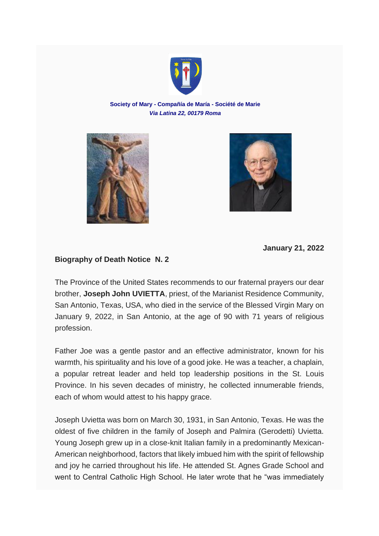

## **Society of Mary - Compañía de María - Société de Marie** *Via Latina 22, 00179 Roma*





**January 21, 2022**

## **Biography of Death Notice N. 2**

The Province of the United States recommends to our fraternal prayers our dear brother, **Joseph John UVIETTA**, priest, of the Marianist Residence Community, San Antonio, Texas, USA, who died in the service of the Blessed Virgin Mary on January 9, 2022, in San Antonio, at the age of 90 with 71 years of religious profession.

Father Joe was a gentle pastor and an effective administrator, known for his warmth, his spirituality and his love of a good joke. He was a teacher, a chaplain, a popular retreat leader and held top leadership positions in the St. Louis Province. In his seven decades of ministry, he collected innumerable friends, each of whom would attest to his happy grace.

Joseph Uvietta was born on March 30, 1931, in San Antonio, Texas. He was the oldest of five children in the family of Joseph and Palmira (Gerodetti) Uvietta. Young Joseph grew up in a close-knit Italian family in a predominantly Mexican-American neighborhood, factors that likely imbued him with the spirit of fellowship and joy he carried throughout his life. He attended St. Agnes Grade School and went to Central Catholic High School. He later wrote that he "was immediately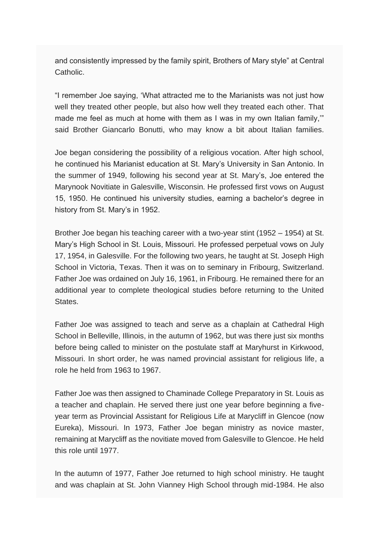and consistently impressed by the family spirit, Brothers of Mary style" at Central Catholic.

"I remember Joe saying, 'What attracted me to the Marianists was not just how well they treated other people, but also how well they treated each other. That made me feel as much at home with them as I was in my own Italian family,'" said Brother Giancarlo Bonutti, who may know a bit about Italian families.

Joe began considering the possibility of a religious vocation. After high school, he continued his Marianist education at St. Mary's University in San Antonio. In the summer of 1949, following his second year at St. Mary's, Joe entered the Marynook Novitiate in Galesville, Wisconsin. He professed first vows on August 15, 1950. He continued his university studies, earning a bachelor's degree in history from St. Mary's in 1952.

Brother Joe began his teaching career with a two-year stint (1952 – 1954) at St. Mary's High School in St. Louis, Missouri. He professed perpetual vows on July 17, 1954, in Galesville. For the following two years, he taught at St. Joseph High School in Victoria, Texas. Then it was on to seminary in Fribourg, Switzerland. Father Joe was ordained on July 16, 1961, in Fribourg. He remained there for an additional year to complete theological studies before returning to the United States.

Father Joe was assigned to teach and serve as a chaplain at Cathedral High School in Belleville, Illinois, in the autumn of 1962, but was there just six months before being called to minister on the postulate staff at Maryhurst in Kirkwood, Missouri. In short order, he was named provincial assistant for religious life, a role he held from 1963 to 1967.

Father Joe was then assigned to Chaminade College Preparatory in St. Louis as a teacher and chaplain. He served there just one year before beginning a fiveyear term as Provincial Assistant for Religious Life at Marycliff in Glencoe (now Eureka), Missouri. In 1973, Father Joe began ministry as novice master, remaining at Marycliff as the novitiate moved from Galesville to Glencoe. He held this role until 1977.

In the autumn of 1977, Father Joe returned to high school ministry. He taught and was chaplain at St. John Vianney High School through mid-1984. He also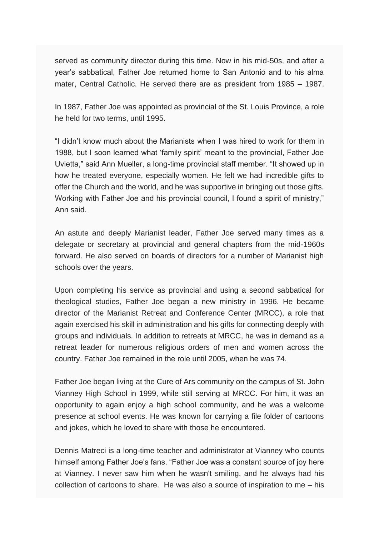served as community director during this time. Now in his mid-50s, and after a year's sabbatical, Father Joe returned home to San Antonio and to his alma mater, Central Catholic. He served there are as president from 1985 – 1987.

In 1987, Father Joe was appointed as provincial of the St. Louis Province, a role he held for two terms, until 1995.

"I didn't know much about the Marianists when I was hired to work for them in 1988, but I soon learned what 'family spirit' meant to the provincial, Father Joe Uvietta," said Ann Mueller, a long-time provincial staff member. "It showed up in how he treated everyone, especially women. He felt we had incredible gifts to offer the Church and the world, and he was supportive in bringing out those gifts. Working with Father Joe and his provincial council. I found a spirit of ministry," Ann said.

An astute and deeply Marianist leader, Father Joe served many times as a delegate or secretary at provincial and general chapters from the mid-1960s forward. He also served on boards of directors for a number of Marianist high schools over the years.

Upon completing his service as provincial and using a second sabbatical for theological studies, Father Joe began a new ministry in 1996. He became director of the Marianist Retreat and Conference Center (MRCC), a role that again exercised his skill in administration and his gifts for connecting deeply with groups and individuals. In addition to retreats at MRCC, he was in demand as a retreat leader for numerous religious orders of men and women across the country. Father Joe remained in the role until 2005, when he was 74.

Father Joe began living at the Cure of Ars community on the campus of St. John Vianney High School in 1999, while still serving at MRCC. For him, it was an opportunity to again enjoy a high school community, and he was a welcome presence at school events. He was known for carrying a file folder of cartoons and jokes, which he loved to share with those he encountered.

Dennis Matreci is a long-time teacher and administrator at Vianney who counts himself among Father Joe's fans. "Father Joe was a constant source of joy here at Vianney. I never saw him when he wasn't smiling, and he always had his collection of cartoons to share. He was also a source of inspiration to me – his